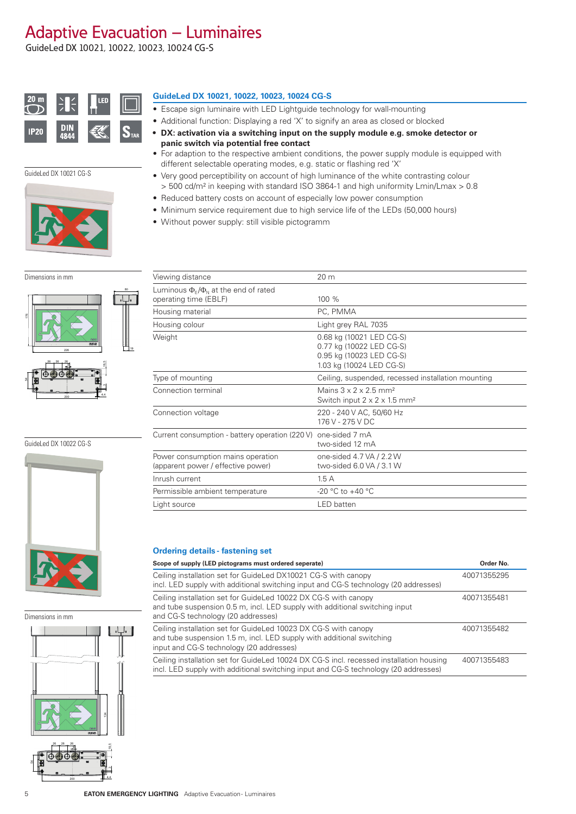# Adaptive Evacuation – Luminaires

GuideLed DX 10021, 10022, 10023, 10024 CG-S

80

19

 $\frac{1}{4.4}$ 



#### GuideLed DX 10021 CG-S



6 7 8 9

Dimensions in mm ŢТ.  $\begin{array}{r} \begin{array}{r} \n\bullet \\
\hline\n\end{array} \quad \begin{array}{r}\n\bullet \\
\hline\n\end{array} \quad \begin{array}{r}\n\bullet \\
\bullet \\
\hline\n\end{array} \quad \begin{array}{r}\n\bullet \\
\bullet \\
\hline\n\end{array} \quad \begin{array}{r}\n\bullet \\
\bullet \\
\hline\n\end{array} \quad \begin{array}{r}\n\bullet \\
\bullet \\
\hline\n\end{array} \quad \begin{array}{r}\n\bullet \\
\bullet \\
\hline\n\end{array} \quad \begin{array}{r}\n\bullet \\
\bullet \\
\hline\n\end{array} \quad \begin{array}{r}\n\bullet \\
\bullet \\
\hline\n$  226 26 26 26 18,5 9

GuideLed DX 10022 CG-S

54

200 **Blue Discovery 200** 



Dimensions in mm



 $\frac{1}{4.4}$ 

### **GuideLed DX 10021, 10022, 10023, 10024 CG-S**

- Escape sign luminaire with LED Lightguide technology for wall-mounting
- Additional function: Displaying a red 'X' to signify an area as closed or blocked
- **DX: activation via a switching input on the supply module e.g. smoke detector or panic switch via potential free contact**
- For adaption to the respective ambient conditions, the power supply module is equipped with different selectable operating modes, e.g. static or flashing red 'X'
- Very good perceptibility on account of high luminance of the white contrasting colour > 500 cd/m² in keeping with standard ISO 3864-1 and high uniformity Lmin/Lmax > 0.8
- Reduced battery costs on account of especially low power consumption
- Minimum service requirement due to high service life of the LEDs (50,000 hours)
- Without power supply: still visible pictogramm

| Viewing distance                                                                  | 20 <sub>m</sub>                                                                                              |  |  |
|-----------------------------------------------------------------------------------|--------------------------------------------------------------------------------------------------------------|--|--|
| Luminous $\Phi_{\rm E}/\Phi_{\rm N}$ at the end of rated<br>operating time (EBLF) | 100%                                                                                                         |  |  |
| Housing material                                                                  | PC, PMMA                                                                                                     |  |  |
| Housing colour                                                                    | Light grey RAL 7035                                                                                          |  |  |
| Weight                                                                            | 0.68 kg (10021 LED CG-S)<br>0.77 kg (10022 LED CG-S)<br>0.95 kg (10023 LED CG-S)<br>1.03 kg (10024 LED CG-S) |  |  |
| Type of mounting                                                                  | Ceiling, suspended, recessed installation mounting                                                           |  |  |
| Connection terminal                                                               | Mains $3 \times 2 \times 2.5$ mm <sup>2</sup><br>Switch input $2 \times 2 \times 1.5$ mm <sup>2</sup>        |  |  |
| Connection voltage                                                                | 220 - 240 V AC, 50/60 Hz<br>176 V - 275 V DC                                                                 |  |  |
| Current consumption - battery operation (220 V)                                   | one-sided 7 mA<br>two-sided 12 mA                                                                            |  |  |
| Power consumption mains operation<br>(apparent power / effective power)           | one-sided 4.7 VA / 2.2 W<br>two-sided 6.0 VA / 3.1 W                                                         |  |  |
| Inrush current                                                                    | 1.5A                                                                                                         |  |  |
| Permissible ambient temperature                                                   | $-20$ °C to $+40$ °C                                                                                         |  |  |
| Light source                                                                      | <b>LED</b> batten                                                                                            |  |  |
|                                                                                   |                                                                                                              |  |  |

#### **Ordering details - fastening set**

| Scope of supply (LED pictograms must ordered seperate)                                                                                                                               | Order No.   |
|--------------------------------------------------------------------------------------------------------------------------------------------------------------------------------------|-------------|
| Ceiling installation set for GuideLed DX10021 CG-S with canopy<br>incl. LED supply with additional switching input and CG-S technology (20 addresses)                                | 40071355295 |
| Ceiling installation set for GuideLed 10022 DX CG-S with canopy<br>and tube suspension 0.5 m, incl. LED supply with additional switching input<br>and CG-S technology (20 addresses) | 40071355481 |
| Ceiling installation set for GuideLed 10023 DX CG-S with canopy<br>and tube suspension 1.5 m, incl. LED supply with additional switching<br>input and CG-S technology (20 addresses) | 40071355482 |
| Ceiling installation set for GuideLed 10024 DX CG-S incl. recessed installation housing<br>incl. LED supply with additional switching input and CG-S technology (20 addresses)       | 40071355483 |

<u>200 and 200 and 200 and 200 and 200 and 200 and 200 and 200 and 200 and 200 and 200 and 200 and 200 and 200 and 200 and 200 and 200 and 200 and 200 and 200 and 200 and 200 and 200 and 200 and 200 and 200 and 200 and 200 a</u>

54